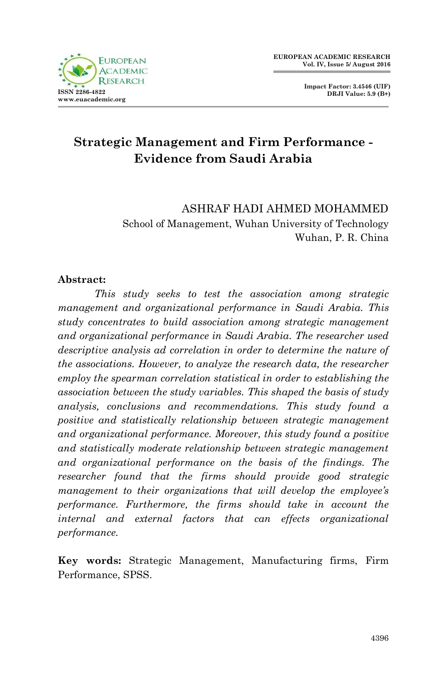

**Impact Factor: 3.4546 (UIF) DRJI Value: 5.9 (B+)**

# **Strategic Management and Firm Performance - Evidence from Saudi Arabia**

ASHRAF HADI AHMED MOHAMMED School of Management, Wuhan University of Technology Wuhan, P. R. China

#### **Abstract:**

*This study seeks to test the association among strategic management and organizational performance in Saudi Arabia. This study concentrates to build association among strategic management and organizational performance in Saudi Arabia. The researcher used descriptive analysis ad correlation in order to determine the nature of the associations. However, to analyze the research data, the researcher employ the spearman correlation statistical in order to establishing the association between the study variables. This shaped the basis of study analysis, conclusions and recommendations. This study found a positive and statistically relationship between strategic management and organizational performance. Moreover, this study found a positive and statistically moderate relationship between strategic management and organizational performance on the basis of the findings. The researcher found that the firms should provide good strategic management to their organizations that will develop the employee's performance. Furthermore, the firms should take in account the internal and external factors that can effects organizational performance.*

**Key words:** Strategic Management, Manufacturing firms, Firm Performance, SPSS.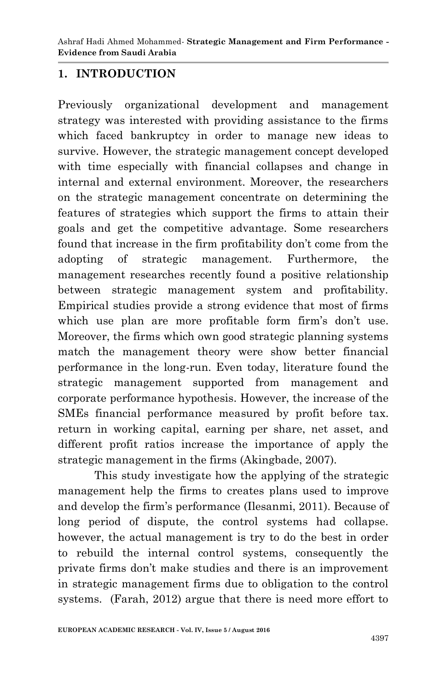### **1. INTRODUCTION**

Previously organizational development and management strategy was interested with providing assistance to the firms which faced bankruptcy in order to manage new ideas to survive. However, the strategic management concept developed with time especially with financial collapses and change in internal and external environment. Moreover, the researchers on the strategic management concentrate on determining the features of strategies which support the firms to attain their goals and get the competitive advantage. Some researchers found that increase in the firm profitability don't come from the adopting of strategic management. Furthermore, the management researches recently found a positive relationship between strategic management system and profitability. Empirical studies provide a strong evidence that most of firms which use plan are more profitable form firm's don't use. Moreover, the firms which own good strategic planning systems match the management theory were show better financial performance in the long-run. Even today, literature found the strategic management supported from management and corporate performance hypothesis. However, the increase of the SMEs financial performance measured by profit before tax. return in working capital, earning per share, net asset, and different profit ratios increase the importance of apply the strategic management in the firms (Akingbade, 2007).

This study investigate how the applying of the strategic management help the firms to creates plans used to improve and develop the firm's performance (Ilesanmi, 2011). Because of long period of dispute, the control systems had collapse. however, the actual management is try to do the best in order to rebuild the internal control systems, consequently the private firms don't make studies and there is an improvement in strategic management firms due to obligation to the control systems. (Farah, 2012) argue that there is need more effort to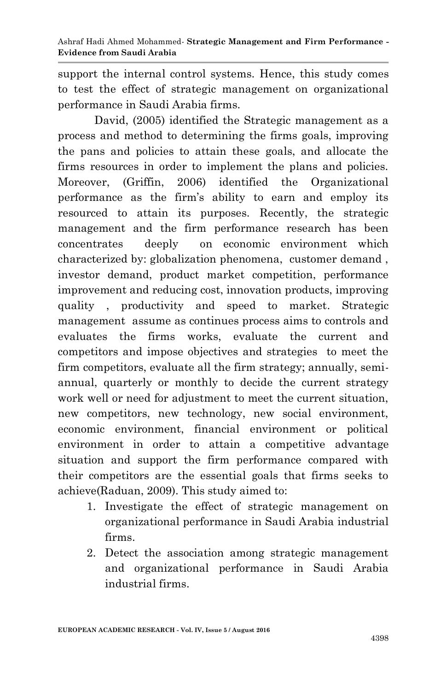support the internal control systems. Hence, this study comes to test the effect of strategic management on organizational performance in Saudi Arabia firms.

David, (2005) identified the Strategic management as a process and method to determining the firms goals, improving the pans and policies to attain these goals, and allocate the firms resources in order to implement the plans and policies. Moreover, (Griffin, 2006) identified the Organizational performance as the firm's ability to earn and employ its resourced to attain its purposes. Recently, the strategic management and the firm performance research has been concentrates deeply on economic environment which characterized by: globalization phenomena, customer demand , investor demand, product market competition, performance improvement and reducing cost, innovation products, improving quality , productivity and speed to market. Strategic management assume as continues process aims to controls and evaluates the firms works, evaluate the current and competitors and impose objectives and strategies to meet the firm competitors, evaluate all the firm strategy; annually, semiannual, quarterly or monthly to decide the current strategy work well or need for adjustment to meet the current situation, new competitors, new technology, new social environment, economic environment, financial environment or political environment in order to attain a competitive advantage situation and support the firm performance compared with their competitors are the essential goals that firms seeks to achieve(Raduan, 2009). This study aimed to:

- 1. Investigate the effect of strategic management on organizational performance in Saudi Arabia industrial firms.
- 2. Detect the association among strategic management and organizational performance in Saudi Arabia industrial firms.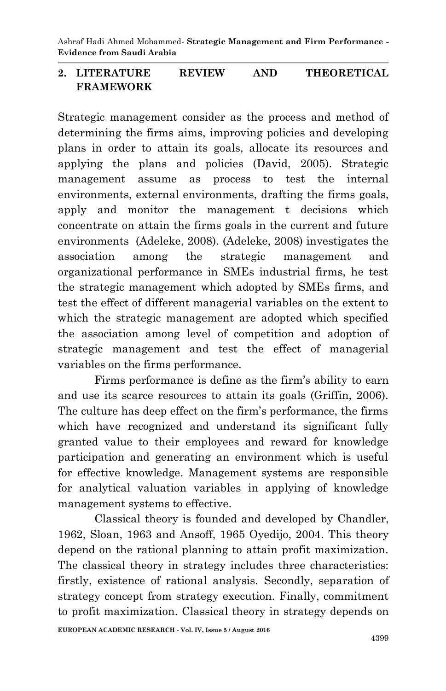Ashraf Hadi Ahmed Mohammed*-* **Strategic Management and Firm Performance - Evidence from Saudi Arabia**

#### **2. LITERATURE REVIEW AND THEORETICAL FRAMEWORK**

Strategic management consider as the process and method of determining the firms aims, improving policies and developing plans in order to attain its goals, allocate its resources and applying the plans and policies (David, 2005). Strategic management assume as process to test the internal environments, external environments, drafting the firms goals, apply and monitor the management t decisions which concentrate on attain the firms goals in the current and future environments (Adeleke, 2008). (Adeleke, 2008) investigates the association among the strategic management and organizational performance in SMEs industrial firms, he test the strategic management which adopted by SMEs firms, and test the effect of different managerial variables on the extent to which the strategic management are adopted which specified the association among level of competition and adoption of strategic management and test the effect of managerial variables on the firms performance.

Firms performance is define as the firm's ability to earn and use its scarce resources to attain its goals (Griffin, 2006). The culture has deep effect on the firm's performance, the firms which have recognized and understand its significant fully granted value to their employees and reward for knowledge participation and generating an environment which is useful for effective knowledge. Management systems are responsible for analytical valuation variables in applying of knowledge management systems to effective.

Classical theory is founded and developed by Chandler, 1962, Sloan, 1963 and Ansoff, 1965 Oyedijo, 2004. This theory depend on the rational planning to attain profit maximization. The classical theory in strategy includes three characteristics: firstly, existence of rational analysis. Secondly, separation of strategy concept from strategy execution. Finally, commitment to profit maximization. Classical theory in strategy depends on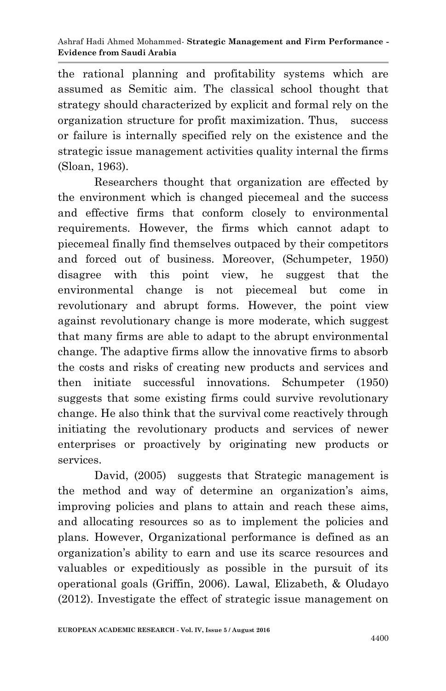the rational planning and profitability systems which are assumed as Semitic aim. The classical school thought that strategy should characterized by explicit and formal rely on the organization structure for profit maximization. Thus, success or failure is internally specified rely on the existence and the strategic issue management activities quality internal the firms (Sloan, 1963).

Researchers thought that organization are effected by the environment which is changed piecemeal and the success and effective firms that conform closely to environmental requirements. However, the firms which cannot adapt to piecemeal finally find themselves outpaced by their competitors and forced out of business. Moreover, (Schumpeter, 1950) disagree with this point view, he suggest that the environmental change is not piecemeal but come in revolutionary and abrupt forms. However, the point view against revolutionary change is more moderate, which suggest that many firms are able to adapt to the abrupt environmental change. The adaptive firms allow the innovative firms to absorb the costs and risks of creating new products and services and then initiate successful innovations. Schumpeter (1950) suggests that some existing firms could survive revolutionary change. He also think that the survival come reactively through initiating the revolutionary products and services of newer enterprises or proactively by originating new products or services.

David,  $(2005)$  suggests that Strategic management is the method and way of determine an organization's aims, improving policies and plans to attain and reach these aims, and allocating resources so as to implement the policies and plans. However, Organizational performance is defined as an organization's ability to earn and use its scarce resources and valuables or expeditiously as possible in the pursuit of its operational goals (Griffin, 2006). Lawal, Elizabeth, & Oludayo (2012). Investigate the effect of strategic issue management on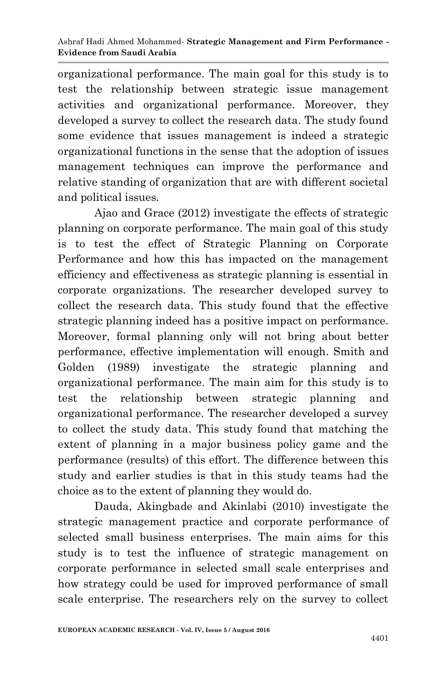organizational performance. The main goal for this study is to test the relationship between strategic issue management activities and organizational performance. Moreover, they developed a survey to collect the research data. The study found some evidence that issues management is indeed a strategic organizational functions in the sense that the adoption of issues management techniques can improve the performance and relative standing of organization that are with different societal and political issues.

Ajao and Grace (2012) investigate the effects of strategic planning on corporate performance. The main goal of this study is to test the effect of Strategic Planning on Corporate Performance and how this has impacted on the management efficiency and effectiveness as strategic planning is essential in corporate organizations. The researcher developed survey to collect the research data. This study found that the effective strategic planning indeed has a positive impact on performance. Moreover, formal planning only will not bring about better performance, effective implementation will enough. Smith and Golden (1989) investigate the strategic planning and organizational performance. The main aim for this study is to test the relationship between strategic planning and organizational performance. The researcher developed a survey to collect the study data. This study found that matching the extent of planning in a major business policy game and the performance (results) of this effort. The difference between this study and earlier studies is that in this study teams had the choice as to the extent of planning they would do.

Dauda, Akingbade and Akinlabi (2010) investigate the strategic management practice and corporate performance of selected small business enterprises. The main aims for this study is to test the influence of strategic management on corporate performance in selected small scale enterprises and how strategy could be used for improved performance of small scale enterprise. The researchers rely on the survey to collect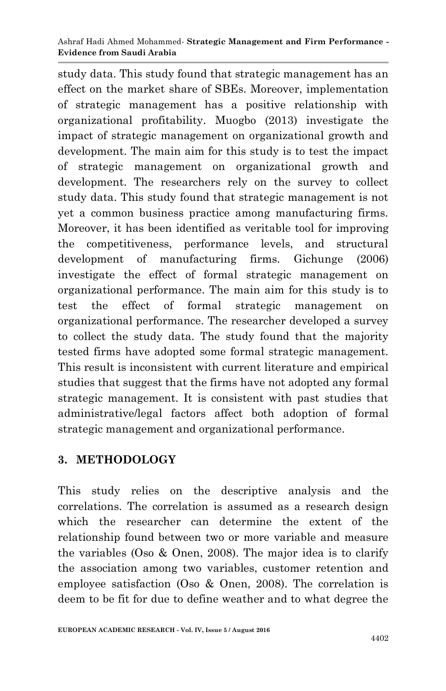study data. This study found that strategic management has an effect on the market share of SBEs. Moreover, implementation of strategic management has a positive relationship with organizational profitability. Muogbo (2013) investigate the impact of strategic management on organizational growth and development. The main aim for this study is to test the impact of strategic management on organizational growth and development. The researchers rely on the survey to collect study data. This study found that strategic management is not yet a common business practice among manufacturing firms. Moreover, it has been identified as veritable tool for improving the competitiveness, performance levels, and structural development of manufacturing firms. Gichunge (2006) investigate the effect of formal strategic management on organizational performance. The main aim for this study is to test the effect of formal strategic management on organizational performance. The researcher developed a survey to collect the study data. The study found that the majority tested firms have adopted some formal strategic management. This result is inconsistent with current literature and empirical studies that suggest that the firms have not adopted any formal strategic management. It is consistent with past studies that administrative/legal factors affect both adoption of formal strategic management and organizational performance.

## **3. METHODOLOGY**

This study relies on the descriptive analysis and the correlations. The correlation is assumed as a research design which the researcher can determine the extent of the relationship found between two or more variable and measure the variables (Oso & Onen, 2008). The major idea is to clarify the association among two variables, customer retention and employee satisfaction (Oso & Onen, 2008). The correlation is deem to be fit for due to define weather and to what degree the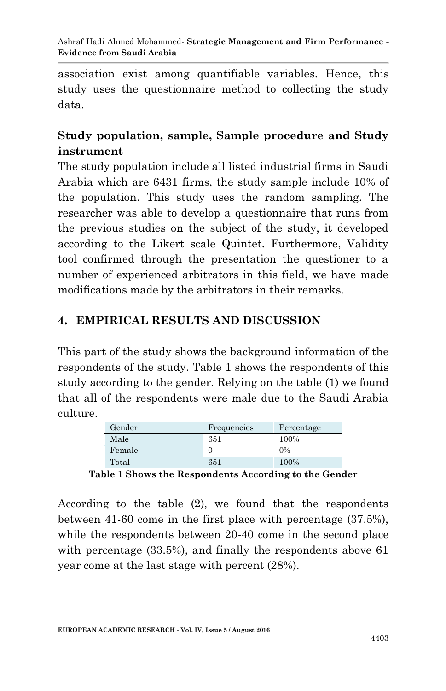association exist among quantifiable variables. Hence, this study uses the questionnaire method to collecting the study data.

## **Study population, sample, Sample procedure and Study instrument**

The study population include all listed industrial firms in Saudi Arabia which are 6431 firms, the study sample include 10% of the population. This study uses the random sampling. The researcher was able to develop a questionnaire that runs from the previous studies on the subject of the study, it developed according to the Likert scale Quintet. Furthermore, Validity tool confirmed through the presentation the questioner to a number of experienced arbitrators in this field, we have made modifications made by the arbitrators in their remarks.

### **4. EMPIRICAL RESULTS AND DISCUSSION**

This part of the study shows the background information of the respondents of the study. Table 1 shows the respondents of this study according to the gender. Relying on the table (1) we found that all of the respondents were male due to the Saudi Arabia culture.

| Gender | Frequencies | Percentage |
|--------|-------------|------------|
| Male   | 651         | 100%       |
| Female |             | $0\%$      |
| Total  | 651         | 100%       |

**Table 1 Shows the Respondents According to the Gender**

According to the table (2), we found that the respondents between 41-60 come in the first place with percentage (37.5%), while the respondents between 20-40 come in the second place with percentage (33.5%), and finally the respondents above 61 year come at the last stage with percent (28%).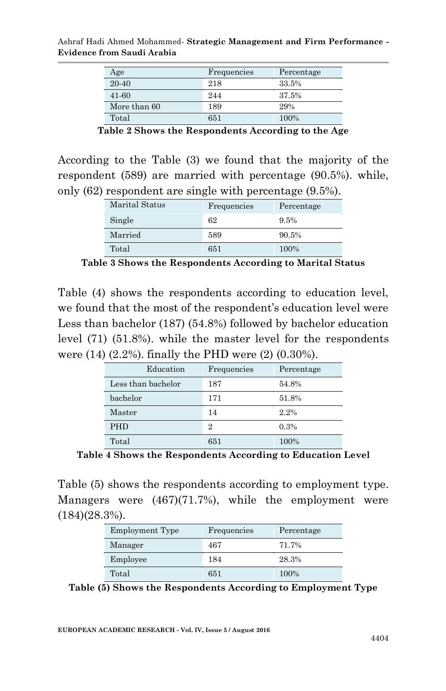| Age          | Frequencies | Percentage |  |
|--------------|-------------|------------|--|
| 20-40        | 218         | 33.5%      |  |
| 41-60        | 244         | 37.5%      |  |
| More than 60 | 189         | 29%        |  |
| Total        | 651         | 100%       |  |

Ashraf Hadi Ahmed Mohammed*-* **Strategic Management and Firm Performance - Evidence from Saudi Arabia**

**Table 2 Shows the Respondents According to the Age**

According to the Table (3) we found that the majority of the respondent (589) are married with percentage (90.5%). while, only (62) respondent are single with percentage (9.5%).

| Marital Status | Frequencies | Percentage |  |
|----------------|-------------|------------|--|
| Single         | 62          | 9.5%       |  |
| Married        | 589         | 90.5%      |  |
| Total          | 651         | 100%       |  |

**Table 3 Shows the Respondents According to Marital Status**

Table (4) shows the respondents according to education level, we found that the most of the respondent's education level were Less than bachelor (187) (54.8%) followed by bachelor education level (71) (51.8%). while the master level for the respondents were (14) (2.2%). finally the PHD were (2) (0.30%).

| Education          | Frequencies    | Percentage |
|--------------------|----------------|------------|
| Less than bachelor | 187            | 54.8%      |
| bachelor           | 171            | 51.8%      |
| Master             | 14             | 2.2%       |
| <b>PHD</b>         | $\overline{2}$ | 0.3%       |
| Total              | 651            | 100%       |

**Table 4 Shows the Respondents According to Education Level**

Table (5) shows the respondents according to employment type. Managers were (467)(71.7%), while the employment were (184)(28.3%).

| Employment Type | Frequencies | Percentage |  |
|-----------------|-------------|------------|--|
| Manager         | 467         | 71.7%      |  |
| Employee        | 184         | 28.3%      |  |
| Total           | 651         | 100%       |  |

**Table (5) Shows the Respondents According to Employment Type**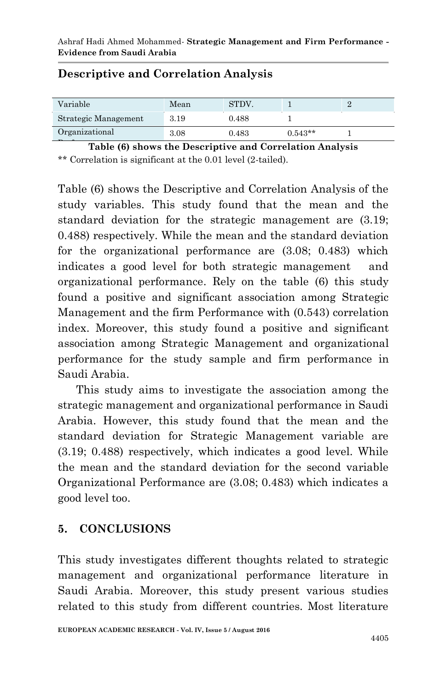| Variable             | Mean | STDV. |           |  |
|----------------------|------|-------|-----------|--|
| Strategic Management | 3.19 | 0.488 |           |  |
| Organizational       | 3.08 | 0.483 | $0.543**$ |  |

### **Descriptive and Correlation Analysis**

Table (6) shows the Descriptive and Correlation Analysis \*\* Correlation is significant at the 0.01 level (2-tailed).

Table (6) shows the Descriptive and Correlation Analysis of the study variables. This study found that the mean and the standard deviation for the strategic management are (3.19; 0.488) respectively. While the mean and the standard deviation for the organizational performance are (3.08; 0.483) which indicates a good level for both strategic management and organizational performance. Rely on the table (6) this study found a positive and significant association among Strategic Management and the firm Performance with (0.543) correlation index. Moreover, this study found a positive and significant association among Strategic Management and organizational performance for the study sample and firm performance in Saudi Arabia.

This study aims to investigate the association among the strategic management and organizational performance in Saudi Arabia. However, this study found that the mean and the standard deviation for Strategic Management variable are (3.19; 0.488) respectively, which indicates a good level. While the mean and the standard deviation for the second variable Organizational Performance are (3.08; 0.483) which indicates a good level too.

### **5. CONCLUSIONS**

This study investigates different thoughts related to strategic management and organizational performance literature in Saudi Arabia. Moreover, this study present various studies related to this study from different countries. Most literature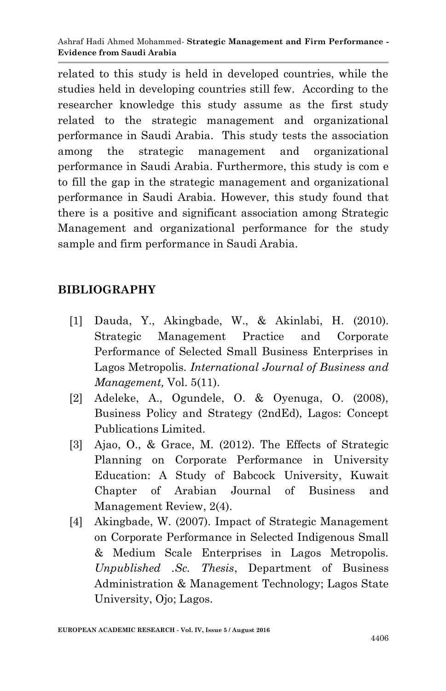related to this study is held in developed countries, while the studies held in developing countries still few. According to the researcher knowledge this study assume as the first study related to the strategic management and organizational performance in Saudi Arabia. This study tests the association among the strategic management and organizational performance in Saudi Arabia. Furthermore, this study is com e to fill the gap in the strategic management and organizational performance in Saudi Arabia. However, this study found that there is a positive and significant association among Strategic Management and organizational performance for the study sample and firm performance in Saudi Arabia.

## **BIBLIOGRAPHY**

- [1] Dauda, Y., Akingbade, W., & Akinlabi, H. (2010). Strategic Management Practice and Corporate Performance of Selected Small Business Enterprises in Lagos Metropolis. *International Journal of Business and Management,* Vol. 5(11).
- [2] Adeleke, A., Ogundele, O. & Oyenuga, O. (2008), Business Policy and Strategy (2ndEd), Lagos: Concept Publications Limited.
- [3] Ajao, O., & Grace, M. (2012). The Effects of Strategic Planning on Corporate Performance in University Education: A Study of Babcock University, Kuwait Chapter of Arabian Journal of Business and Management Review, 2(4).
- [4] Akingbade, W. (2007). Impact of Strategic Management on Corporate Performance in Selected Indigenous Small & Medium Scale Enterprises in Lagos Metropolis. *Unpublished .Sc. Thesis*, Department of Business Administration & Management Technology; Lagos State University, Ojo; Lagos.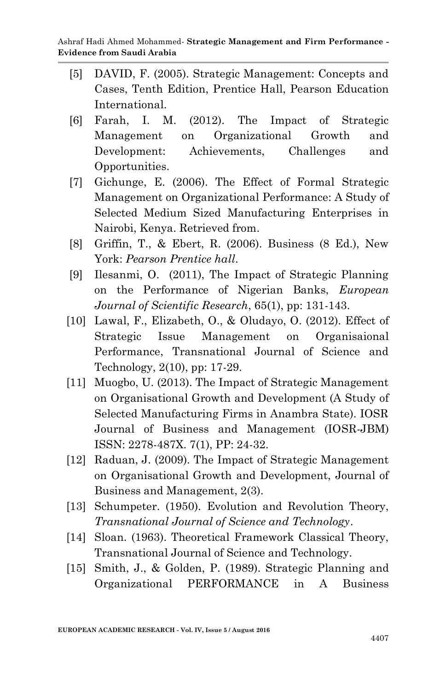- [5] DAVID, F. (2005). Strategic Management: Concepts and Cases, Tenth Edition, Prentice Hall, Pearson Education International.
- [6] Farah, I. M. (2012). The Impact of Strategic Management on Organizational Growth and Development: Achievements, Challenges and Opportunities.
- [7] Gichunge, E. (2006). The Effect of Formal Strategic Management on Organizational Performance: A Study of Selected Medium Sized Manufacturing Enterprises in Nairobi, Kenya. Retrieved from.
- [8] Griffin, T., & Ebert, R. (2006). Business (8 Ed.), New York: *Pearson Prentice hall*.
- [9] Ilesanmi, O. (2011), The Impact of Strategic Planning on the Performance of Nigerian Banks, *European Journal of Scientific Research*, 65(1), pp: 131-143.
- [10] Lawal, F., Elizabeth, O., & Oludayo, O. (2012). Effect of Strategic Issue Management on Organisaional Performance, Transnational Journal of Science and Technology, 2(10), pp: 17-29.
- [11] Muogbo, U. (2013). The Impact of Strategic Management on Organisational Growth and Development (A Study of Selected Manufacturing Firms in Anambra State). IOSR Journal of Business and Management (IOSR-JBM) ISSN: 2278-487X. 7(1), PP: 24-32.
- [12] Raduan, J. (2009). The Impact of Strategic Management on Organisational Growth and Development, Journal of Business and Management, 2(3).
- [13] Schumpeter. (1950). Evolution and Revolution Theory, *Transnational Journal of Science and Technology*.
- [14] Sloan. (1963). Theoretical Framework Classical Theory, Transnational Journal of Science and Technology.
- [15] Smith, J., & Golden, P. (1989). Strategic Planning and Organizational PERFORMANCE in A Business